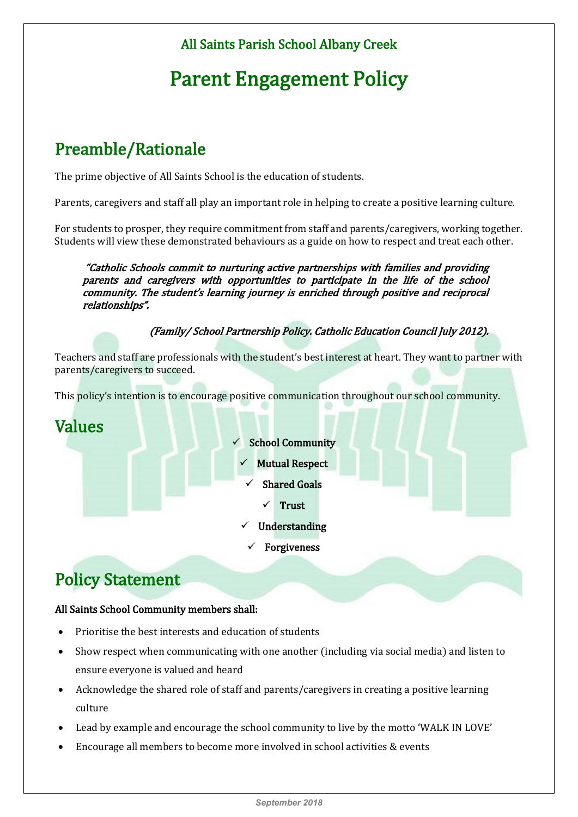#### All Saints Parish School Albany Creek

# Parent Engagement Policy

## Preamble/Rationale

The prime objective of All Saints School is the education of students.

Parents, caregivers and staff all play an important role in helping to create a positive learning culture.

For students to prosper, they require commitment from staff and parents/caregivers, working together. Students will view these demonstrated behaviours as a guide on how to respect and treat each other.

 "Catholic Schools commit to nurturing active partnerships with families and providing parents and caregivers with opportunities to participate in the life of the school community. The student's learning journey is enriched through positive and reciprocal relationships".

(Family/ School Partnership Policy. Catholic Education Council July 2012).

Teachers and staff are professionals with the student's best interest at heart. They want to partner with parents/caregivers to succeed.

This policy's intention is to encourage positive communication throughout our school community.

# Values School Community

- 
- $\checkmark$  Mutual Respect
	- Shared Goals
		- Trust
- Understanding
- Forgiveness

### Policy Statement

#### All Saints School Community members shall:

- Prioritise the best interests and education of students
- Show respect when communicating with one another (including via social media) and listen to ensure everyone is valued and heard
- Acknowledge the shared role of staff and parents/caregivers in creating a positive learning culture
- Lead by example and encourage the school community to live by the motto 'WALK IN LOVE'
- Encourage all members to become more involved in school activities & events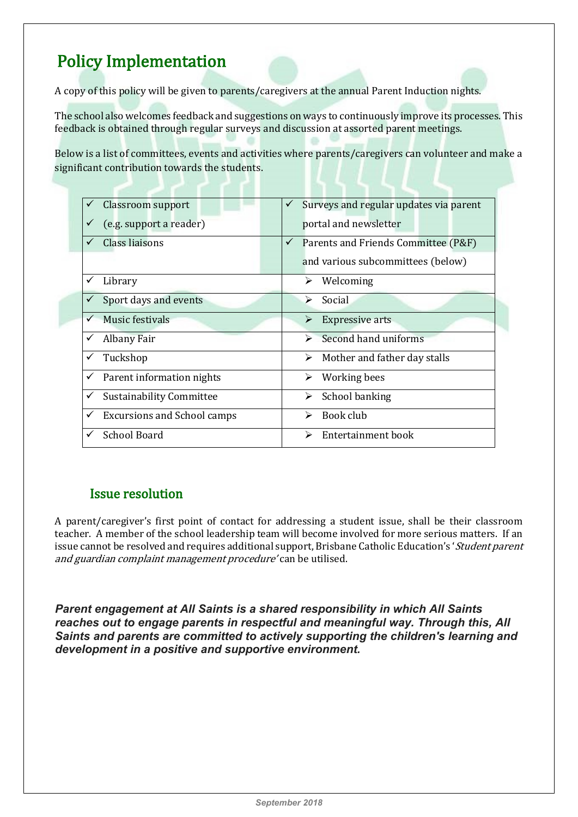# Policy Implementation

A copy of this policy will be given to parents/caregivers at the annual Parent Induction nights.

The school also welcomes feedback and suggestions on ways to continuously improve its processes. This feedback is obtained through regular surveys and discussion at assorted parent meetings.

Below is a list of committees, events and activities where parents/caregivers can volunteer and make a significant contribution towards the students.

|   | <b>Classroom support</b>           |              | Surveys and regular updates via parent |
|---|------------------------------------|--------------|----------------------------------------|
|   | (e.g. support a reader)            |              | portal and newsletter                  |
|   | Class liaisons                     | $\checkmark$ | Parents and Friends Committee (P&F)    |
|   |                                    |              | and various subcommittees (below)      |
|   | Library                            |              | Welcoming<br>⋗                         |
|   | Sport days and events              |              | Social<br>↘                            |
|   | Music festivals                    |              | <b>Expressive arts</b><br>➤            |
| ✓ | <b>Albany Fair</b>                 |              | Second hand uniforms                   |
|   | Tuckshop                           |              | Mother and father day stalls<br>➤      |
| ✓ | Parent information nights          |              | Working bees<br>➤                      |
| ✓ | Sustainability Committee           |              | School banking<br>➤                    |
| ✓ | <b>Excursions and School camps</b> |              | Book club<br>↘                         |
| ✓ | <b>School Board</b>                |              | Entertainment book                     |

#### Issue resolution

A parent/caregiver's first point of contact for addressing a student issue, shall be their classroom teacher. A member of the school leadership team will become involved for more serious matters. If an issue cannot be resolved and requires additional support, Brisbane Catholic Education's 'Student parent and guardian complaint management procedure' can be utilised.

*Parent engagement at All Saints is a shared responsibility in which All Saints reaches out to engage parents in respectful and meaningful way. Through this, All Saints and parents are committed to actively supporting the children's learning and development in a positive and supportive environment.*